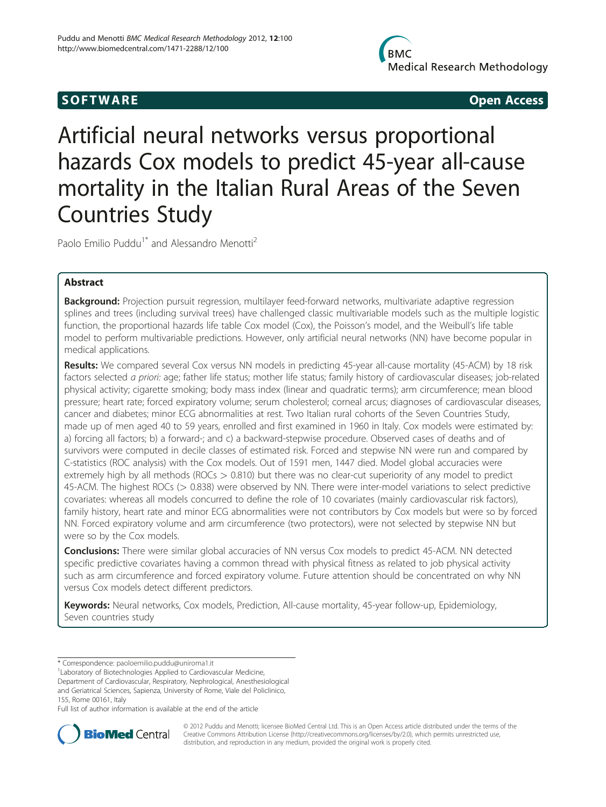# **SOFTWARE SOFTWARE SOFTWARE**

**Medical Research Methodology** 

Artificial neural networks versus proportional hazards Cox models to predict 45-year all-cause mortality in the Italian Rural Areas of the Seven Countries Study

Paolo Emilio Puddu<sup>1\*</sup> and Alessandro Menotti<sup>2</sup>

# Abstract

**Background:** Projection pursuit regression, multilayer feed-forward networks, multivariate adaptive regression splines and trees (including survival trees) have challenged classic multivariable models such as the multiple logistic function, the proportional hazards life table Cox model (Cox), the Poisson's model, and the Weibull's life table model to perform multivariable predictions. However, only artificial neural networks (NN) have become popular in medical applications.

Results: We compared several Cox versus NN models in predicting 45-year all-cause mortality (45-ACM) by 18 risk factors selected a priori: age; father life status; mother life status; family history of cardiovascular diseases; job-related physical activity; cigarette smoking; body mass index (linear and quadratic terms); arm circumference; mean blood pressure; heart rate; forced expiratory volume; serum cholesterol; corneal arcus; diagnoses of cardiovascular diseases, cancer and diabetes; minor ECG abnormalities at rest. Two Italian rural cohorts of the Seven Countries Study, made up of men aged 40 to 59 years, enrolled and first examined in 1960 in Italy. Cox models were estimated by: a) forcing all factors; b) a forward-; and c) a backward-stepwise procedure. Observed cases of deaths and of survivors were computed in decile classes of estimated risk. Forced and stepwise NN were run and compared by C-statistics (ROC analysis) with the Cox models. Out of 1591 men, 1447 died. Model global accuracies were extremely high by all methods (ROCs > 0.810) but there was no clear-cut superiority of any model to predict 45-ACM. The highest ROCs (> 0.838) were observed by NN. There were inter-model variations to select predictive covariates: whereas all models concurred to define the role of 10 covariates (mainly cardiovascular risk factors), family history, heart rate and minor ECG abnormalities were not contributors by Cox models but were so by forced NN. Forced expiratory volume and arm circumference (two protectors), were not selected by stepwise NN but were so by the Cox models.

**Conclusions:** There were similar global accuracies of NN versus Cox models to predict 45-ACM. NN detected specific predictive covariates having a common thread with physical fitness as related to job physical activity such as arm circumference and forced expiratory volume. Future attention should be concentrated on why NN versus Cox models detect different predictors.

Keywords: Neural networks, Cox models, Prediction, All-cause mortality, 45-year follow-up, Epidemiology, Seven countries study

<sup>1</sup> Laboratory of Biotechnologies Applied to Cardiovascular Medicine,

Department of Cardiovascular, Respiratory, Nephrological, Anesthesiological

and Geriatrical Sciences, Sapienza, University of Rome, Viale del Policlinico, 155, Rome 00161, Italy

Full list of author information is available at the end of the article



© 2012 Puddu and Menotti; licensee BioMed Central Ltd. This is an Open Access article distributed under the terms of the Creative Commons Attribution License (<http://creativecommons.org/licenses/by/2.0>), which permits unrestricted use, distribution, and reproduction in any medium, provided the original work is properly cited.

<sup>\*</sup> Correspondence: [paoloemilio.puddu@uniroma1.it](mailto:paoloemilio.puddu@uniroma1.it) <sup>1</sup>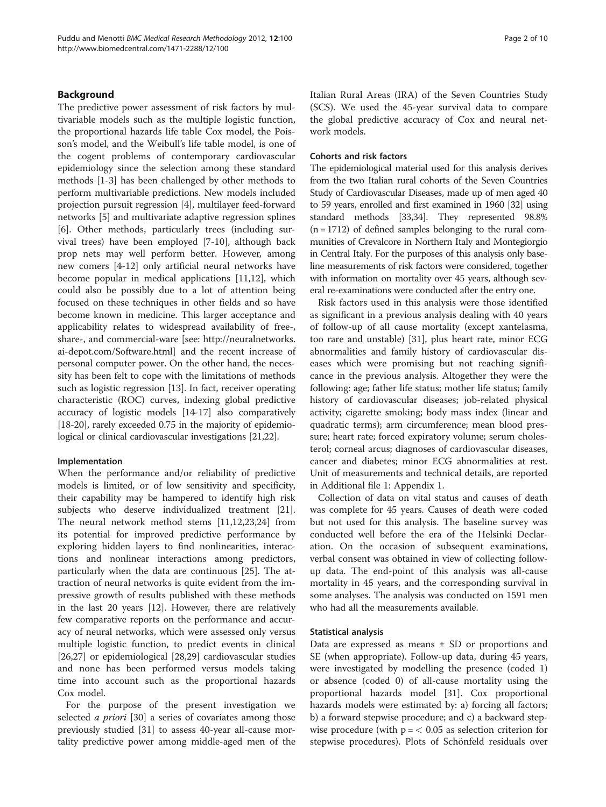# Background

The predictive power assessment of risk factors by multivariable models such as the multiple logistic function, the proportional hazards life table Cox model, the Poisson's model, and the Weibull's life table model, is one of the cogent problems of contemporary cardiovascular epidemiology since the selection among these standard methods [[1](#page-8-0)-[3\]](#page-8-0) has been challenged by other methods to perform multivariable predictions. New models included projection pursuit regression [[4\]](#page-8-0), multilayer feed-forward networks [\[5](#page-8-0)] and multivariate adaptive regression splines [[6\]](#page-8-0). Other methods, particularly trees (including survival trees) have been employed [[7](#page-8-0)-[10\]](#page-8-0), although back prop nets may well perform better. However, among new comers [[4-12](#page-8-0)] only artificial neural networks have become popular in medical applications [\[11,12](#page-8-0)], which could also be possibly due to a lot of attention being focused on these techniques in other fields and so have become known in medicine. This larger acceptance and applicability relates to widespread availability of free-, share-, and commercial-ware [see: [http://neuralnetworks.](http://neuralnetworks.ai-depot.com/Software.html) [ai-depot.com/Software.html\]](http://neuralnetworks.ai-depot.com/Software.html) and the recent increase of personal computer power. On the other hand, the necessity has been felt to cope with the limitations of methods such as logistic regression [\[13\]](#page-8-0). In fact, receiver operating characteristic (ROC) curves, indexing global predictive accuracy of logistic models [\[14-17\]](#page-8-0) also comparatively [[18](#page-8-0)-[20](#page-8-0)], rarely exceeded 0.75 in the majority of epidemiological or clinical cardiovascular investigations [[21](#page-8-0),[22](#page-8-0)].

## Implementation

When the performance and/or reliability of predictive models is limited, or of low sensitivity and specificity, their capability may be hampered to identify high risk subjects who deserve individualized treatment [\[21](#page-8-0)]. The neural network method stems [[11,12,23,24](#page-8-0)] from its potential for improved predictive performance by exploring hidden layers to find nonlinearities, interactions and nonlinear interactions among predictors, particularly when the data are continuous [\[25](#page-8-0)]. The attraction of neural networks is quite evident from the impressive growth of results published with these methods in the last 20 years [[12](#page-8-0)]. However, there are relatively few comparative reports on the performance and accuracy of neural networks, which were assessed only versus multiple logistic function, to predict events in clinical [[26,27\]](#page-8-0) or epidemiological [[28](#page-8-0),[29](#page-8-0)] cardiovascular studies and none has been performed versus models taking time into account such as the proportional hazards Cox model.

For the purpose of the present investigation we selected *a priori* [\[30\]](#page-8-0) a series of covariates among those previously studied [\[31\]](#page-8-0) to assess 40-year all-cause mortality predictive power among middle-aged men of the Italian Rural Areas (IRA) of the Seven Countries Study (SCS). We used the 45-year survival data to compare the global predictive accuracy of Cox and neural network models.

## Cohorts and risk factors

The epidemiological material used for this analysis derives from the two Italian rural cohorts of the Seven Countries Study of Cardiovascular Diseases, made up of men aged 40 to 59 years, enrolled and first examined in 1960 [\[32](#page-8-0)] using standard methods [\[33,34\]](#page-8-0). They represented 98.8%  $(n = 1712)$  of defined samples belonging to the rural communities of Crevalcore in Northern Italy and Montegiorgio in Central Italy. For the purposes of this analysis only baseline measurements of risk factors were considered, together with information on mortality over 45 years, although several re-examinations were conducted after the entry one.

Risk factors used in this analysis were those identified as significant in a previous analysis dealing with 40 years of follow-up of all cause mortality (except xantelasma, too rare and unstable) [[31\]](#page-8-0), plus heart rate, minor ECG abnormalities and family history of cardiovascular diseases which were promising but not reaching significance in the previous analysis. Altogether they were the following: age; father life status; mother life status; family history of cardiovascular diseases; job-related physical activity; cigarette smoking; body mass index (linear and quadratic terms); arm circumference; mean blood pressure; heart rate; forced expiratory volume; serum cholesterol; corneal arcus; diagnoses of cardiovascular diseases, cancer and diabetes; minor ECG abnormalities at rest. Unit of measurements and technical details, are reported in [Additional file 1: Appendix 1.](#page-7-0)

Collection of data on vital status and causes of death was complete for 45 years. Causes of death were coded but not used for this analysis. The baseline survey was conducted well before the era of the Helsinki Declaration. On the occasion of subsequent examinations, verbal consent was obtained in view of collecting followup data. The end-point of this analysis was all-cause mortality in 45 years, and the corresponding survival in some analyses. The analysis was conducted on 1591 men who had all the measurements available.

# Statistical analysis

Data are expressed as means  $\pm$  SD or proportions and SE (when appropriate). Follow-up data, during 45 years, were investigated by modelling the presence (coded 1) or absence (coded 0) of all-cause mortality using the proportional hazards model [[31\]](#page-8-0). Cox proportional hazards models were estimated by: a) forcing all factors; b) a forward stepwise procedure; and c) a backward stepwise procedure (with  $p = 0.05$  as selection criterion for stepwise procedures). Plots of Schönfeld residuals over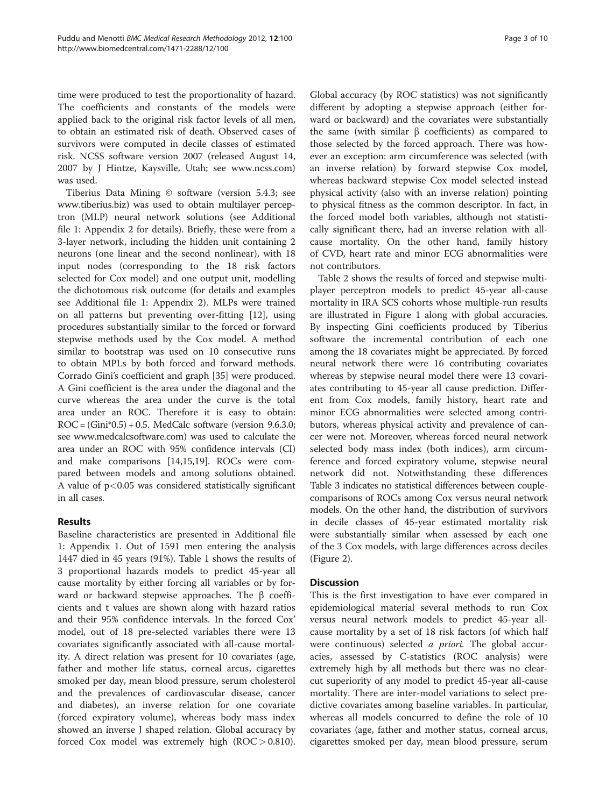time were produced to test the proportionality of hazard. The coefficients and constants of the models were applied back to the original risk factor levels of all men, to obtain an estimated risk of death. Observed cases of survivors were computed in decile classes of estimated risk. NCSS software version 2007 (released August 14, 2007 by J Hintze, Kaysville, Utah; see [www.ncss.com](http://www.ncss.com)) was used.

Tiberius Data Mining © software (version 5.4.3; see [www.tiberius.biz](http://www.tiberius.biz)) was used to obtain multilayer perceptron (MLP) neural network solutions (see [Additional](#page-7-0) [file 1: Appendix 2](#page-7-0) for details). Briefly, these were from a 3-layer network, including the hidden unit containing 2 neurons (one linear and the second nonlinear), with 18 input nodes (corresponding to the 18 risk factors selected for Cox model) and one output unit, modelling the dichotomous risk outcome (for details and examples see [Additional file 1: Appendix 2\)](#page-7-0). MLPs were trained on all patterns but preventing over-fitting [\[12](#page-8-0)], using procedures substantially similar to the forced or forward stepwise methods used by the Cox model. A method similar to bootstrap was used on 10 consecutive runs to obtain MPLs by both forced and forward methods. Corrado Gini's coefficient and graph [[35](#page-8-0)] were produced. A Gini coefficient is the area under the diagonal and the curve whereas the area under the curve is the total area under an ROC. Therefore it is easy to obtain:  $ROC = (Gini*0.5) + 0.5$ . MedCalc software (version 9.6.3.0; see [www.medcalcsoftware.com\)](http://www.medcalcsoftware.com) was used to calculate the area under an ROC with 95% confidence intervals (CI) and make comparisons [[14,15,19](#page-8-0)]. ROCs were compared between models and among solutions obtained. A value of  $p<0.05$  was considered statistically significant in all cases.

# Results

Baseline characteristics are presented in [Additional file](#page-7-0) [1: Appendix 1](#page-7-0). Out of 1591 men entering the analysis 1447 died in 45 years (91%). Table [1](#page-3-0) shows the results of 3 proportional hazards models to predict 45-year all cause mortality by either forcing all variables or by forward or backward stepwise approaches. The β coefficients and t values are shown along with hazard ratios and their 95% confidence intervals. In the forced Cox' model, out of 18 pre-selected variables there were 13 covariates significantly associated with all-cause mortality. A direct relation was present for 10 covariates (age, father and mother life status, corneal arcus, cigarettes smoked per day, mean blood pressure, serum cholesterol and the prevalences of cardiovascular disease, cancer and diabetes), an inverse relation for one covariate (forced expiratory volume), whereas body mass index showed an inverse J shaped relation. Global accuracy by forced Cox model was extremely high  $(ROC > 0.810)$ .

Global accuracy (by ROC statistics) was not significantly different by adopting a stepwise approach (either forward or backward) and the covariates were substantially the same (with similar β coefficients) as compared to those selected by the forced approach. There was however an exception: arm circumference was selected (with an inverse relation) by forward stepwise Cox model, whereas backward stepwise Cox model selected instead physical activity (also with an inverse relation) pointing to physical fitness as the common descriptor. In fact, in the forced model both variables, although not statistically significant there, had an inverse relation with allcause mortality. On the other hand, family history of CVD, heart rate and minor ECG abnormalities were not contributors.

Table [2](#page-4-0) shows the results of forced and stepwise multiplayer perceptron models to predict 45-year all-cause mortality in IRA SCS cohorts whose multiple-run results are illustrated in Figure [1](#page-5-0) along with global accuracies. By inspecting Gini coefficients produced by Tiberius software the incremental contribution of each one among the 18 covariates might be appreciated. By forced neural network there were 16 contributing covariates whereas by stepwise neural model there were 13 covariates contributing to 45-year all cause prediction. Different from Cox models, family history, heart rate and minor ECG abnormalities were selected among contributors, whereas physical activity and prevalence of cancer were not. Moreover, whereas forced neural network selected body mass index (both indices), arm circumference and forced expiratory volume, stepwise neural network did not. Notwithstanding these differences Table [3](#page-5-0) indicates no statistical differences between couplecomparisons of ROCs among Cox versus neural network models. On the other hand, the distribution of survivors in decile classes of 45-year estimated mortality risk were substantially similar when assessed by each one of the 3 Cox models, with large differences across deciles (Figure [2](#page-6-0)).

## **Discussion**

This is the first investigation to have ever compared in epidemiological material several methods to run Cox versus neural network models to predict 45-year allcause mortality by a set of 18 risk factors (of which half were continuous) selected *a priori*. The global accuracies, assessed by C-statistics (ROC analysis) were extremely high by all methods but there was no clearcut superiority of any model to predict 45-year all-cause mortality. There are inter-model variations to select predictive covariates among baseline variables. In particular, whereas all models concurred to define the role of 10 covariates (age, father and mother status, corneal arcus, cigarettes smoked per day, mean blood pressure, serum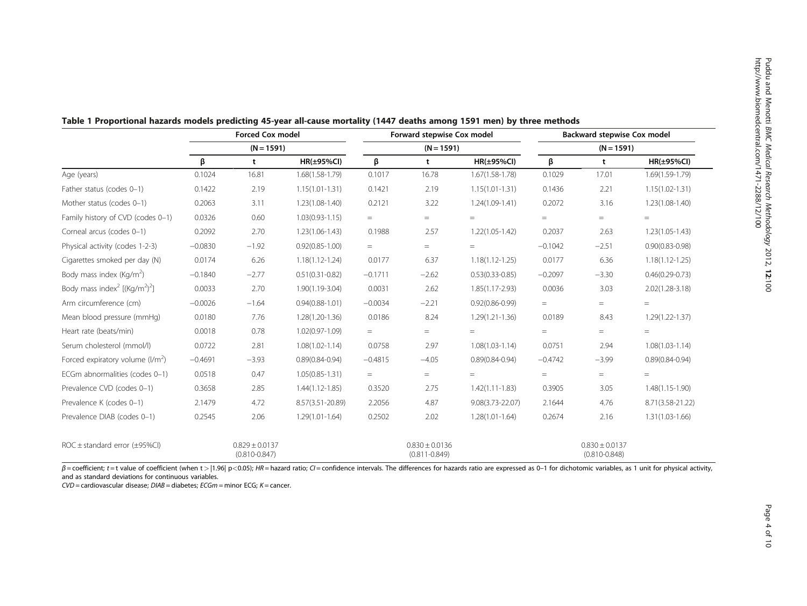Puddu and Menotti

BMC

Medical Research

Methodology

2012, <u>ีลี</u> :100

|                                                                   | <b>Forced Cox model</b> |                                         | Forward stepwise Cox model   |           |                                         | <b>Backward stepwise Cox model</b> |                                   |                                         |                     |
|-------------------------------------------------------------------|-------------------------|-----------------------------------------|------------------------------|-----------|-----------------------------------------|------------------------------------|-----------------------------------|-----------------------------------------|---------------------|
|                                                                   |                         |                                         | $(N = 1591)$<br>$(N = 1591)$ |           |                                         |                                    | $(N = 1591)$                      |                                         |                     |
|                                                                   | β                       | t                                       | $HR(\pm 95\% CI)$            | β         | t                                       | $HR(\pm 95\% CI)$                  | β                                 | t                                       | $HR(\pm 95\% CI)$   |
| Age (years)                                                       | 0.1024                  | 16.81                                   | $1.68(1.58-1.79)$            | 0.1017    | 16.78                                   | $1.67(1.58-1.78)$                  | 0.1029                            | 17.01                                   | 1.69(1.59-1.79)     |
| Father status (codes 0-1)                                         | 0.1422                  | 2.19                                    | $1.15(1.01 - 1.31)$          | 0.1421    | 2.19                                    | $1.15(1.01 - 1.31)$                | 0.1436                            | 2.21                                    | $1.15(1.02 - 1.31)$ |
| Mother status (codes 0-1)                                         | 0.2063                  | 3.11                                    | $1.23(1.08-1.40)$            | 0.2121    | 3.22                                    | $1.24(1.09-1.41)$                  | 0.2072                            | 3.16                                    | $1.23(1.08-1.40)$   |
| Family history of CVD (codes 0-1)                                 | 0.0326                  | 0.60                                    | $1.03(0.93 - 1.15)$          | $=$       | $=$                                     | $=$                                | $=$                               | $=$                                     | $=$                 |
| Corneal arcus (codes 0-1)                                         | 0.2092                  | 2.70                                    | $1.23(1.06 - 1.43)$          | 0.1988    | 2.57                                    | $1.22(1.05 - 1.42)$                | 0.2037                            | 2.63                                    | $1.23(1.05 - 1.43)$ |
| Physical activity (codes 1-2-3)                                   | $-0.0830$               | $-1.92$                                 | $0.92(0.85 - 1.00)$          | $=$       | $=$                                     | $=$                                | $-0.1042$                         | $-2.51$                                 | $0.90(0.83 - 0.98)$ |
| Cigarettes smoked per day (N)                                     | 0.0174                  | 6.26                                    | $1.18(1.12 - 1.24)$          | 0.0177    | 6.37                                    | $1.18(1.12 - 1.25)$                | 0.0177                            | 6.36                                    | $1.18(1.12 - 1.25)$ |
| Body mass index (Kg/m <sup>2</sup> )                              | $-0.1840$               | $-2.77$                                 | $0.51(0.31 - 0.82)$          | $-0.1711$ | $-2.62$                                 | $0.53(0.33 - 0.85)$                | $-0.2097$                         | $-3.30$                                 | $0.46(0.29 - 0.73)$ |
| Body mass index <sup>2</sup> [(Kg/m <sup>2</sup> ) <sup>2</sup> ] | 0.0033                  | 2.70                                    | $1.90(1.19 - 3.04)$          | 0.0031    | 2.62                                    | $1.85(1.17 - 2.93)$                | 0.0036                            | 3.03                                    | $2.02(1.28 - 3.18)$ |
| Arm circumference (cm)                                            | $-0.0026$               | $-1.64$                                 | $0.94(0.88 - 1.01)$          | $-0.0034$ | $-2.21$                                 | $0.92(0.86 - 0.99)$                | $=$                               | $=$                                     | $=$                 |
| Mean blood pressure (mmHg)                                        | 0.0180                  | 7.76                                    | $1.28(1.20-1.36)$            | 0.0186    | 8.24                                    | $1.29(1.21 - 1.36)$                | 0.0189                            | 8.43                                    | $1.29(1.22 - 1.37)$ |
| Heart rate (beats/min)                                            | 0.0018                  | 0.78                                    | $1.02(0.97 - 1.09)$          | $=$       | $=$                                     | $=$                                | $\hspace{0.1in} = \hspace{0.1in}$ | $=$                                     | $=$                 |
| Serum cholesterol (mmol/l)                                        | 0.0722                  | 2.81                                    | $1.08(1.02 - 1.14)$          | 0.0758    | 2.97                                    | $1.08(1.03 - 1.14)$                | 0.0751                            | 2.94                                    | $1.08(1.03 - 1.14)$ |
| Forced expiratory volume $(l/m^2)$                                | $-0.4691$               | $-3.93$                                 | $0.89(0.84 - 0.94)$          | $-0.4815$ | $-4.05$                                 | $0.89(0.84 - 0.94)$                | $-0.4742$                         | $-3.99$                                 | $0.89(0.84 - 0.94)$ |
| ECGm abnormalities (codes 0-1)                                    | 0.0518                  | 0.47                                    | $1.05(0.85 - 1.31)$          | $=$       | $=$                                     | $=$                                | $=$                               | $=$                                     | $=$                 |
| Prevalence CVD (codes 0-1)                                        | 0.3658                  | 2.85                                    | $1.44(1.12 - 1.85)$          | 0.3520    | 2.75                                    | $1.42(1.11 - 1.83)$                | 0.3905                            | 3.05                                    | $1.48(1.15 - 1.90)$ |
| Prevalence K (codes 0-1)                                          | 2.1479                  | 4.72                                    | 8.57(3.51-20.89)             | 2.2056    | 4.87                                    | 9.08(3.73-22.07)                   | 2.1644                            | 4.76                                    | 8.71(3.58-21.22)    |
| Prevalence DIAB (codes 0-1)                                       | 0.2545                  | 2.06                                    | $1.29(1.01 - 1.64)$          | 0.2502    | 2.02                                    | $1.28(1.01 - 1.64)$                | 0.2674                            | 2.16                                    | $1.31(1.03 - 1.66)$ |
| ROC ± standard error (±95%Cl)                                     |                         | $0.829 \pm 0.0137$<br>$(0.810 - 0.847)$ |                              |           | $0.830 \pm 0.0136$<br>$(0.811 - 0.849)$ |                                    |                                   | $0.830 \pm 0.0137$<br>$(0.810 - 0.848)$ |                     |

<span id="page-3-0"></span>Table 1 Proportional hazards models predicting 45-year all-cause mortality (1447 deaths among 1591 men) by three methods

 $\beta$  = coefficient; t = t value of coefficient (when t > |1.96| p<0.05); HR = hazard ratio; CI = confidence intervals. The differences for hazards ratio are expressed as 0-1 for dichotomic variables, as 1 unit for physica and as standard deviations for continuous variables.

 $CVD =$  cardiovascular disease;  $DIAB =$  diabetes;  $EGm =$  minor ECG;  $K =$  cancer.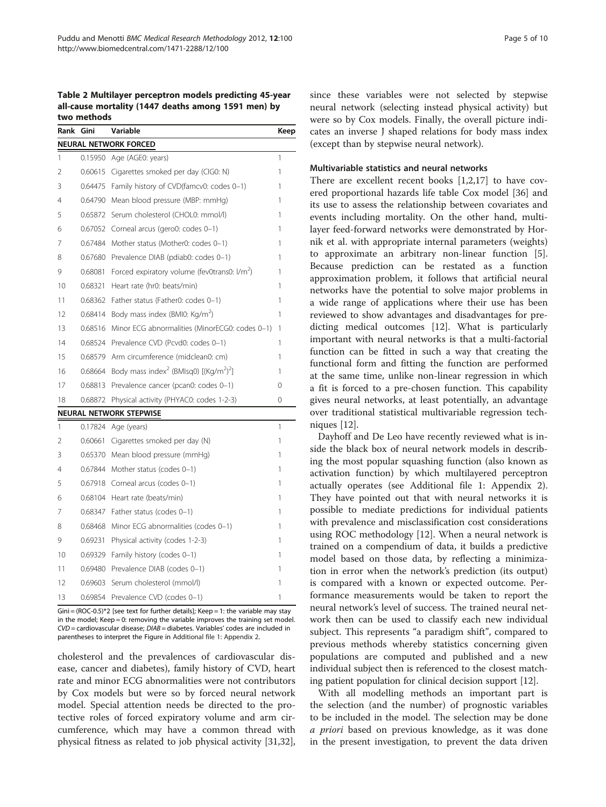<span id="page-4-0"></span>Table 2 Multilayer perceptron models predicting 45-year all-cause mortality (1447 deaths among 1591 men) by two methods

| Rank                         | Gini    | Variable                                                                   | Keep |  |  |  |  |  |
|------------------------------|---------|----------------------------------------------------------------------------|------|--|--|--|--|--|
| <b>NEURAL NETWORK FORCED</b> |         |                                                                            |      |  |  |  |  |  |
| 1                            | 0.15950 | Age (AGE0: years)                                                          | 1    |  |  |  |  |  |
| $\overline{2}$               | 0.60615 | Cigarettes smoked per day (CIG0: N)                                        | 1    |  |  |  |  |  |
| 3                            | 0.64475 | Family history of CVD(famcv0: codes 0-1)                                   | 1    |  |  |  |  |  |
| 4                            |         | 0.64790 Mean blood pressure (MBP: mmHg)                                    | 1    |  |  |  |  |  |
| 5                            | 0.65872 | Serum cholesterol (CHOL0: mmol/l)                                          | 1    |  |  |  |  |  |
| 6                            | 0.67052 | Corneal arcus (gero0: codes 0-1)                                           | 1    |  |  |  |  |  |
| 7                            | 0.67484 | Mother status (Mother0: codes 0-1)                                         | 1    |  |  |  |  |  |
| 8                            | 0.67680 | Prevalence DIAB (pdiab0: codes 0-1)                                        | 1    |  |  |  |  |  |
| 9                            | 0.68081 | Forced expiratory volume (fev0trans0: l/m <sup>2</sup> )                   | 1    |  |  |  |  |  |
| 10                           | 0.68321 | Heart rate (hr0: beats/min)                                                | 1    |  |  |  |  |  |
| 11                           | 0.68362 | Father status (Father0: codes 0-1)                                         | 1    |  |  |  |  |  |
| 12                           | 0.68414 | Body mass index (BMI0: Kg/m <sup>2</sup> )                                 | 1    |  |  |  |  |  |
| 13                           | 0.68516 | Minor ECG abnormalities (MinorECG0: codes 0-1)                             | 1    |  |  |  |  |  |
| 14                           | 0.68524 | Prevalence CVD (Pcvd0: codes 0-1)                                          | 1    |  |  |  |  |  |
| 15                           | 0.68579 | Arm circumference (midclean0: cm)                                          | 1    |  |  |  |  |  |
| 16                           | 0.68664 | Body mass index <sup>2</sup> (BMIsq0) [(Kg/m <sup>2</sup> ) <sup>2</sup> ] | 1    |  |  |  |  |  |
| 17                           | 0.68813 | Prevalence cancer (pcan0: codes 0-1)                                       | 0    |  |  |  |  |  |
| 18                           | 0.68872 | Physical activity (PHYAC0: codes 1-2-3)                                    | 0    |  |  |  |  |  |
|                              |         | <b>NEURAL NETWORK STEPWISE</b>                                             |      |  |  |  |  |  |
| 1                            | 0.17824 | Age (years)                                                                | 1    |  |  |  |  |  |
| $\overline{2}$               | 0.60661 | Cigarettes smoked per day (N)                                              | 1    |  |  |  |  |  |
| 3                            |         | 0.65370 Mean blood pressure (mmHg)                                         | 1    |  |  |  |  |  |
| 4                            | 0.67844 | Mother status (codes 0-1)                                                  | 1    |  |  |  |  |  |
| 5                            |         | 0.67918 Corneal arcus (codes 0-1)                                          | 1    |  |  |  |  |  |
| 6                            | 0.68104 | Heart rate (beats/min)                                                     | 1    |  |  |  |  |  |
| 7                            | 0.68347 | Father status (codes 0-1)                                                  | 1    |  |  |  |  |  |
| 8                            | 0.68468 | Minor ECG abnormalities (codes 0-1)                                        | 1    |  |  |  |  |  |
| 9                            | 0.69231 | Physical activity (codes 1-2-3)                                            | 1    |  |  |  |  |  |
| 10                           | 0.69329 | Family history (codes 0-1)                                                 | 1    |  |  |  |  |  |
| 11                           | 0.69480 | Prevalence DIAB (codes 0-1)                                                | 1    |  |  |  |  |  |
| 12                           | 0.69603 | Serum cholesterol (mmol/l)                                                 | 1    |  |  |  |  |  |
| 13                           | 0.69854 | Prevalence CVD (codes 0-1)                                                 | 1    |  |  |  |  |  |

 $Gini = (ROC-0.5)^*$ 2 [see text for further details]; Keep = 1: the variable may stay in the model; Keep = 0: removing the variable improves the training set model. CVD = cardiovascular disease; DIAB = diabetes. Variables' codes are included in parentheses to interpret the Figure in [Additional file 1: Appendix 2](#page-7-0).

cholesterol and the prevalences of cardiovascular disease, cancer and diabetes), family history of CVD, heart rate and minor ECG abnormalities were not contributors by Cox models but were so by forced neural network model. Special attention needs be directed to the protective roles of forced expiratory volume and arm circumference, which may have a common thread with physical fitness as related to job physical activity [\[31,32](#page-8-0)], since these variables were not selected by stepwise neural network (selecting instead physical activity) but were so by Cox models. Finally, the overall picture indicates an inverse J shaped relations for body mass index (except than by stepwise neural network).

## Multivariable statistics and neural networks

There are excellent recent books [\[1,2,17](#page-8-0)] to have covered proportional hazards life table Cox model [[36\]](#page-8-0) and its use to assess the relationship between covariates and events including mortality. On the other hand, multilayer feed-forward networks were demonstrated by Hornik et al. with appropriate internal parameters (weights) to approximate an arbitrary non-linear function [\[5](#page-8-0)]. Because prediction can be restated as a function approximation problem, it follows that artificial neural networks have the potential to solve major problems in a wide range of applications where their use has been reviewed to show advantages and disadvantages for predicting medical outcomes [[12](#page-8-0)]. What is particularly important with neural networks is that a multi-factorial function can be fitted in such a way that creating the functional form and fitting the function are performed at the same time, unlike non-linear regression in which a fit is forced to a pre-chosen function. This capability gives neural networks, at least potentially, an advantage over traditional statistical multivariable regression techniques [[12](#page-8-0)].

Dayhoff and De Leo have recently reviewed what is inside the black box of neural network models in describing the most popular squashing function (also known as activation function) by which multilayered perceptron actually operates (see [Additional file 1: Appendix 2](#page-7-0)). They have pointed out that with neural networks it is possible to mediate predictions for individual patients with prevalence and misclassification cost considerations using ROC methodology [[12\]](#page-8-0). When a neural network is trained on a compendium of data, it builds a predictive model based on those data, by reflecting a minimization in error when the network's prediction (its output) is compared with a known or expected outcome. Performance measurements would be taken to report the neural network's level of success. The trained neural network then can be used to classify each new individual subject. This represents "a paradigm shift", compared to previous methods whereby statistics concerning given populations are computed and published and a new individual subject then is referenced to the closest matching patient population for clinical decision support [\[12](#page-8-0)].

With all modelling methods an important part is the selection (and the number) of prognostic variables to be included in the model. The selection may be done a priori based on previous knowledge, as it was done in the present investigation, to prevent the data driven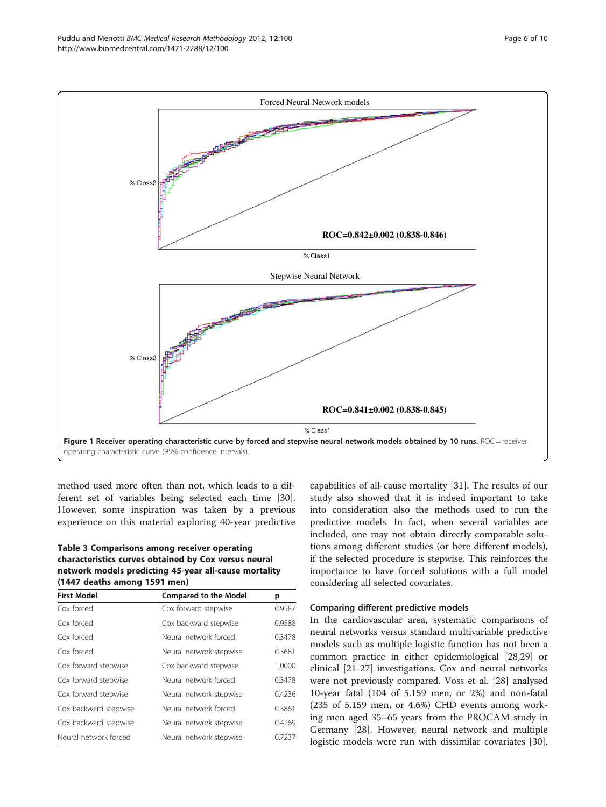<span id="page-5-0"></span>

method used more often than not, which leads to a different set of variables being selected each time [\[30](#page-8-0)]. However, some inspiration was taken by a previous experience on this material exploring 40-year predictive

# Table 3 Comparisons among receiver operating characteristics curves obtained by Cox versus neural network models predicting 45-year all-cause mortality (1447 deaths among 1591 men)

| <b>First Model</b>    | <b>Compared to the Model</b> | р      |
|-----------------------|------------------------------|--------|
| Cox forced            | Cox forward stepwise         | 0.9587 |
| Cox forced            | Cox backward stepwise        | 0.9588 |
| Cox forced            | Neural network forced        | 0.3478 |
| Cox forced            | Neural network stepwise      | 0.3681 |
| Cox forward stepwise  | Cox backward stepwise        | 1.0000 |
| Cox forward stepwise  | Neural network forced        | 0.3478 |
| Cox forward stepwise  | Neural network stepwise      | 0.4236 |
| Cox backward stepwise | Neural network forced        | 0.3861 |
| Cox backward stepwise | Neural network stepwise      | 0.4269 |
| Neural network forced | Neural network stepwise      | 0.7237 |

capabilities of all-cause mortality [[31\]](#page-8-0). The results of our study also showed that it is indeed important to take into consideration also the methods used to run the predictive models. In fact, when several variables are included, one may not obtain directly comparable solutions among different studies (or here different models), if the selected procedure is stepwise. This reinforces the importance to have forced solutions with a full model considering all selected covariates.

# Comparing different predictive models

In the cardiovascular area, systematic comparisons of neural networks versus standard multivariable predictive models such as multiple logistic function has not been a common practice in either epidemiological [\[28,29](#page-8-0)] or clinical [[21](#page-8-0)-[27\]](#page-8-0) investigations. Cox and neural networks were not previously compared. Voss et al. [\[28](#page-8-0)] analysed 10-year fatal (104 of 5.159 men, or 2%) and non-fatal (235 of 5.159 men, or 4.6%) CHD events among working men aged 35–65 years from the PROCAM study in Germany [[28\]](#page-8-0). However, neural network and multiple logistic models were run with dissimilar covariates [\[30](#page-8-0)].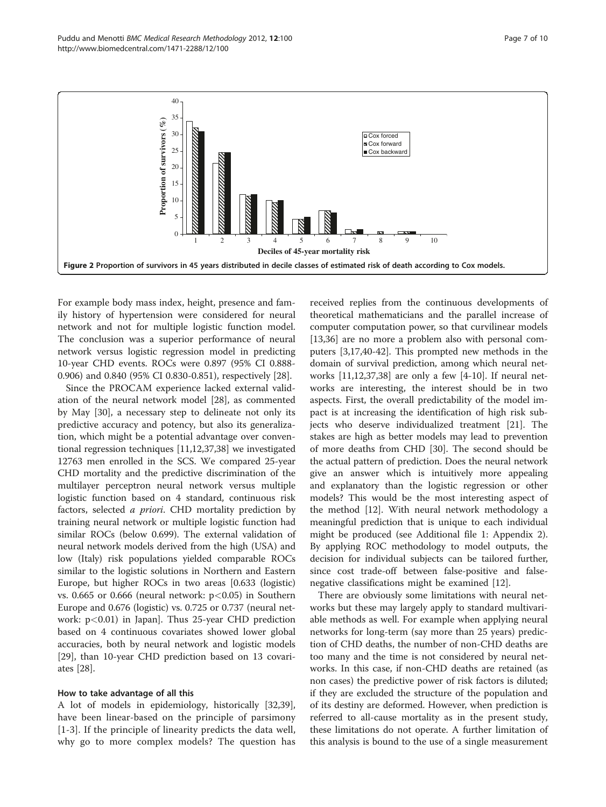For example body mass index, height, presence and family history of hypertension were considered for neural network and not for multiple logistic function model. The conclusion was a superior performance of neural network versus logistic regression model in predicting 10-year CHD events. ROCs were 0.897 (95% CI 0.888- 0.906) and 0.840 (95% CI 0.830-0.851), respectively [[28\]](#page-8-0).

Since the PROCAM experience lacked external validation of the neural network model [[28](#page-8-0)], as commented by May [[30\]](#page-8-0), a necessary step to delineate not only its predictive accuracy and potency, but also its generalization, which might be a potential advantage over conventional regression techniques [[11,12,37,38](#page-8-0)] we investigated 12763 men enrolled in the SCS. We compared 25-year CHD mortality and the predictive discrimination of the multilayer perceptron neural network versus multiple logistic function based on 4 standard, continuous risk factors, selected a priori. CHD mortality prediction by training neural network or multiple logistic function had similar ROCs (below 0.699). The external validation of neural network models derived from the high (USA) and low (Italy) risk populations yielded comparable ROCs similar to the logistic solutions in Northern and Eastern Europe, but higher ROCs in two areas [0.633 (logistic) vs. 0.665 or 0.666 (neural network:  $p<0.05$ ) in Southern Europe and 0.676 (logistic) vs. 0.725 or 0.737 (neural network: p<0.01) in Japan]. Thus 25-year CHD prediction based on 4 continuous covariates showed lower global accuracies, both by neural network and logistic models [[29\]](#page-8-0), than 10-year CHD prediction based on 13 covariates [\[28](#page-8-0)].

# How to take advantage of all this

A lot of models in epidemiology, historically [\[32,39](#page-8-0)], have been linear-based on the principle of parsimony [[1-3\]](#page-8-0). If the principle of linearity predicts the data well, why go to more complex models? The question has

received replies from the continuous developments of theoretical mathematicians and the parallel increase of computer computation power, so that curvilinear models [[13,36](#page-8-0)] are no more a problem also with personal computers [\[3,17,40-42](#page-8-0)]. This prompted new methods in the domain of survival prediction, among which neural networks [\[11,12,37,38](#page-8-0)] are only a few [\[4](#page-8-0)-[10\]](#page-8-0). If neural networks are interesting, the interest should be in two aspects. First, the overall predictability of the model impact is at increasing the identification of high risk subjects who deserve individualized treatment [\[21\]](#page-8-0). The stakes are high as better models may lead to prevention of more deaths from CHD [[30](#page-8-0)]. The second should be the actual pattern of prediction. Does the neural network give an answer which is intuitively more appealing and explanatory than the logistic regression or other models? This would be the most interesting aspect of the method [[12\]](#page-8-0). With neural network methodology a meaningful prediction that is unique to each individual might be produced (see [Additional file 1: Appendix 2](#page-7-0)). By applying ROC methodology to model outputs, the decision for individual subjects can be tailored further, since cost trade-off between false-positive and falsenegative classifications might be examined [\[12\]](#page-8-0).

There are obviously some limitations with neural networks but these may largely apply to standard multivariable methods as well. For example when applying neural networks for long-term (say more than 25 years) prediction of CHD deaths, the number of non-CHD deaths are too many and the time is not considered by neural networks. In this case, if non-CHD deaths are retained (as non cases) the predictive power of risk factors is diluted; if they are excluded the structure of the population and of its destiny are deformed. However, when prediction is referred to all-cause mortality as in the present study, these limitations do not operate. A further limitation of this analysis is bound to the use of a single measurement

<span id="page-6-0"></span>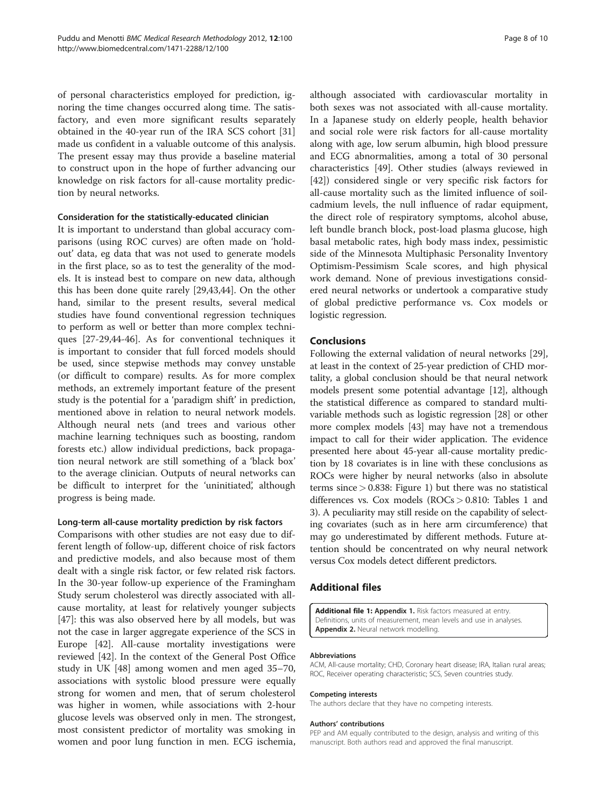<span id="page-7-0"></span>of personal characteristics employed for prediction, ignoring the time changes occurred along time. The satisfactory, and even more significant results separately obtained in the 40-year run of the IRA SCS cohort [[31](#page-8-0)] made us confident in a valuable outcome of this analysis. The present essay may thus provide a baseline material to construct upon in the hope of further advancing our knowledge on risk factors for all-cause mortality prediction by neural networks.

## Consideration for the statistically-educated clinician

It is important to understand than global accuracy comparisons (using ROC curves) are often made on 'holdout' data, eg data that was not used to generate models in the first place, so as to test the generality of the models. It is instead best to compare on new data, although this has been done quite rarely [\[29,43,44\]](#page-8-0). On the other hand, similar to the present results, several medical studies have found conventional regression techniques to perform as well or better than more complex techniques [\[27-29,44](#page-8-0)-[46\]](#page-8-0). As for conventional techniques it is important to consider that full forced models should be used, since stepwise methods may convey unstable (or difficult to compare) results. As for more complex methods, an extremely important feature of the present study is the potential for a 'paradigm shift' in prediction, mentioned above in relation to neural network models. Although neural nets (and trees and various other machine learning techniques such as boosting, random forests etc.) allow individual predictions, back propagation neural network are still something of a 'black box' to the average clinician. Outputs of neural networks can be difficult to interpret for the 'uninitiated', although progress is being made.

## Long-term all-cause mortality prediction by risk factors

Comparisons with other studies are not easy due to different length of follow-up, different choice of risk factors and predictive models, and also because most of them dealt with a single risk factor, or few related risk factors. In the 30-year follow-up experience of the Framingham Study serum cholesterol was directly associated with allcause mortality, at least for relatively younger subjects [[47\]](#page-8-0): this was also observed here by all models, but was not the case in larger aggregate experience of the SCS in Europe [\[42](#page-8-0)]. All-cause mortality investigations were reviewed [\[42](#page-8-0)]. In the context of the General Post Office study in UK [[48\]](#page-9-0) among women and men aged 35–70, associations with systolic blood pressure were equally strong for women and men, that of serum cholesterol was higher in women, while associations with 2-hour glucose levels was observed only in men. The strongest, most consistent predictor of mortality was smoking in women and poor lung function in men. ECG ischemia,

although associated with cardiovascular mortality in both sexes was not associated with all-cause mortality. In a Japanese study on elderly people, health behavior and social role were risk factors for all-cause mortality along with age, low serum albumin, high blood pressure and ECG abnormalities, among a total of 30 personal characteristics [\[49](#page-9-0)]. Other studies (always reviewed in [[42\]](#page-8-0)) considered single or very specific risk factors for all-cause mortality such as the limited influence of soilcadmium levels, the null influence of radar equipment, the direct role of respiratory symptoms, alcohol abuse, left bundle branch block, post-load plasma glucose, high basal metabolic rates, high body mass index, pessimistic side of the Minnesota Multiphasic Personality Inventory Optimism-Pessimism Scale scores, and high physical work demand. None of previous investigations considered neural networks or undertook a comparative study of global predictive performance vs. Cox models or logistic regression.

## Conclusions

Following the external validation of neural networks [[29](#page-8-0)], at least in the context of 25-year prediction of CHD mortality, a global conclusion should be that neural network models present some potential advantage [\[12\]](#page-8-0), although the statistical difference as compared to standard multivariable methods such as logistic regression [\[28\]](#page-8-0) or other more complex models [\[43\]](#page-8-0) may have not a tremendous impact to call for their wider application. The evidence presented here about 45-year all-cause mortality prediction by 18 covariates is in line with these conclusions as ROCs were higher by neural networks (also in absolute terms since  $> 0.838$ : Figure [1](#page-5-0)) but there was no statistical differences vs. Cox models ( $ROCs > 0.810$ : Tables [1](#page-3-0) and [3\)](#page-5-0). A peculiarity may still reside on the capability of selecting covariates (such as in here arm circumference) that may go underestimated by different methods. Future attention should be concentrated on why neural network versus Cox models detect different predictors.

# Additional files

[Additional file 1:](http://www.biomedcentral.com/content/supplementary/1471-2288-12-100-S1.doc) Appendix 1. Risk factors measured at entry. Definitions, units of measurement, mean levels and use in analyses. Appendix 2. Neural network modelling

#### Abbreviations

ACM, All-cause mortality; CHD, Coronary heart disease; IRA, Italian rural areas; ROC, Receiver operating characteristic; SCS, Seven countries study.

#### Competing interests

The authors declare that they have no competing interests.

#### Authors' contributions

PEP and AM equally contributed to the design, analysis and writing of this manuscript. Both authors read and approved the final manuscript.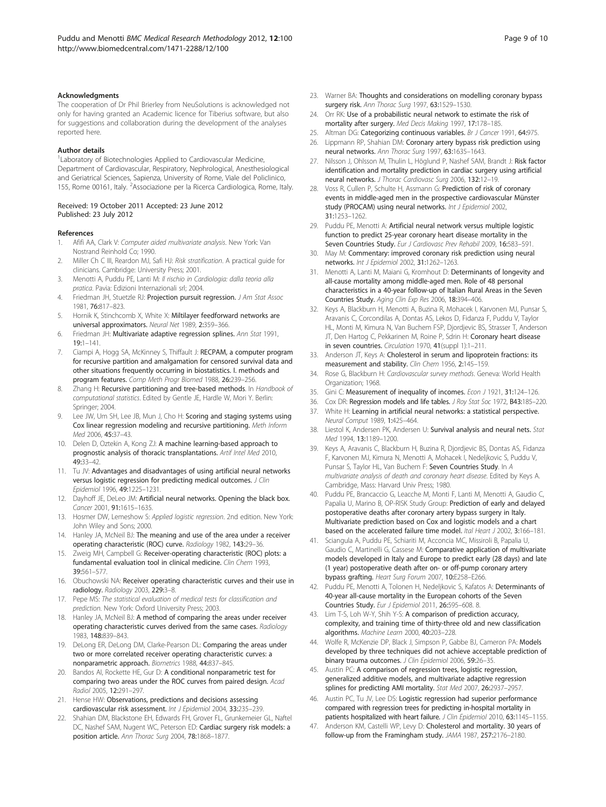#### <span id="page-8-0"></span>Acknowledgments

The cooperation of Dr Phil Brierley from NeuSolutions is acknowledged not only for having granted an Academic licence for Tiberius software, but also for suggestions and collaboration during the development of the analyses reported here.

#### Author details

<sup>1</sup> Laboratory of Biotechnologies Applied to Cardiovascular Medicine, Department of Cardiovascular, Respiratory, Nephrological, Anesthesiological and Geriatrical Sciences, Sapienza, University of Rome, Viale del Policlinico, 155, Rome 00161, Italy. <sup>2</sup>Associazione per la Ricerca Cardiologica, Rome, Italy.

### Received: 19 October 2011 Accepted: 23 June 2012 Published: 23 July 2012

#### References

- 1. Afifi AA, Clark V: Computer aided multivariate analysis. New York: Van Nostrand Reinhold Co; 1990.
- 2. Miller Ch C III, Reardon MJ, Safi HJ: Risk stratification. A practical quide for clinicians. Cambridge: University Press; 2001.
- 3. Menotti A, Puddu PE, Lanti M: Il rischio in Cardiologia: dalla teoria alla pratica. Pavia: Edizioni Internazionali srl; 2004.
- 4. Friedman JH, Stuetzle RJ: Projection pursuit regression. J Am Stat Assoc 1981, 76:817–823.
- 5. Hornik K, Stinchcomb X, White X: Miltilayer feedforward networks are universal approximators. Neural Net 1989, 2:359–366.
- 6. Friedman JH: Multivariate adaptive regression splines. Ann Stat 1991, 19:1–141.
- 7. Ciampi A, Hogg SA, McKinney S, Thiffault J: RECPAM, a computer program for recursive partition and amalgamation for censored survival data and other situations frequently occurring in biostatistics. I. methods and program features. Comp Meth Progr Biomed 1988, 26:239–256.
- 8. Zhang H: Recursive partitioning and tree-based methods. In Handbook of computational statistics. Edited by Gentle JE, Hardle W, Mori Y. Berlin: Springer; 2004.
- Lee JW, Um SH, Lee JB, Mun J, Cho H: Scoring and staging systems using Cox linear regression modeling and recursive partitioning. Meth Inform Med 2006, 45:37–43.
- 10. Delen D, Oztekin A, Kong ZJ: A machine learning-based approach to prognostic analysis of thoracic transplantations. Artif Intel Med 2010, 49:33–42.
- 11. Tu JV: Advantages and disadvantages of using artificial neural networks versus logistic regression for predicting medical outcomes. J Clin Epidemiol 1996, 49:1225–1231.
- 12. Dayhoff JE, DeLeo JM: Artificial neural networks. Opening the black box. Cancer 2001, 91:1615–1635.
- 13. Hosmer DW, Lemeshow S: Applied logistic regression. 2nd edition. New York: John Wiley and Sons; 2000.
- 14. Hanley JA, McNeil BJ: The meaning and use of the area under a receiver operating characteristic (ROC) curve. Radiology 1982, 143:29–36.
- 15. Zweig MH, Campbell G: Receiver-operating characteristic (ROC) plots: a fundamental evaluation tool in clinical medicine. Clin Chem 1993, 39:561–577.
- 16. Obuchowski NA: Receiver operating characteristic curves and their use in radiology. Radiology 2003, 229:3–8.
- 17. Pepe MS: The statistical evaluation of medical tests for classification and prediction. New York: Oxford University Press; 2003.
- 18. Hanley JA, McNeil BJ: A method of comparing the areas under receiver operating characteristic curves derived from the same cases. Radiology 1983, 148:839–843.
- 19. DeLong ER, DeLong DM, Clarke-Pearson DL: Comparing the areas under two or more correlated receiver operating characteristic curves: a nonparametric approach. Biometrics 1988, 44:837–845.
- 20. Bandos AI, Rockette HE, Gur D: A conditional nonparametric test for comparing two areas under the ROC curves from paired design. Acad Radiol 2005, 12:291–297.
- 21. Hense HW: Observations, predictions and decisions assessing cardiovascular risk assessment. Int J Epidemiol 2004, 33:235-239.
- 22. Shahian DM, Blackstone EH, Edwards FH, Grover FL, Grunkemeier GL, Naftel DC, Nashef SAM, Nugent WC, Peterson ED: Cardiac surgery risk models: a position article. Ann Thorac Surg 2004, 78:1868–1877.
- 23. Warner BA: Thoughts and considerations on modelling coronary bypass surgery risk. Ann Thorac Surg 1997, 63:1529–1530.
- 24. Orr RK: Use of a probabilistic neural network to estimate the risk of mortality after surgery. Med Decis Making 1997, 17:178–185.
- 25. Altman DG: Categorizing continuous variables. Br J Cancer 1991, 64:975.
- 26. Lippmann RP, Shahian DM: Coronary artery bypass risk prediction using neural networks. Ann Thorac Surg 1997, 63:1635–1643.
- 27. Nilsson J, Ohlsson M, Thulin L, Höglund P, Nashef SAM, Brandt J: Risk factor identification and mortality prediction in cardiac surgery using artificial neural networks. J Thorac Cardiovasc Surg 2006, 132:12–19.
- 28. Voss R, Cullen P, Schulte H, Assmann G: Prediction of risk of coronary events in middle-aged men in the prospective cardiovascular Münster study (PROCAM) using neural networks. Int J Epidemiol 2002, 31:1253–1262.
- 29. Puddu PE, Menotti A: Artificial neural network versus multiple logistic function to predict 25-year coronary heart disease mortality in the Seven Countries Study. Eur J Cardiovasc Prev Rehabil 2009, 16:583-591.
- 30. May M: Commentary: improved coronary risk prediction using neural networks. Int J Epidemiol 2002, 31:1262–1263.
- 31. Menotti A, Lanti M, Maiani G, Kromhout D: Determinants of longevity and all-cause mortality among middle-aged men. Role of 48 personal characteristics in a 40-year follow-up of Italian Rural Areas in the Seven Countries Study. Aging Clin Exp Res 2006, 18:394–406.
- 32. Keys A, Blackburn H, Menotti A, Buzina R, Mohacek I, Karvonen MJ, Punsar S, Aravanis C, Corcondilas A, Dontas AS, Lekos D, Fidanza F, Puddu V, Taylor HL, Monti M, Kimura N, Van Buchem FSP, Djordjevic BS, Strasser T, Anderson JT, Den Hartog C, Pekkarinen M, Roine P, Sdrin H: Coronary heart disease in seven countries. Circulation 1970, 41(suppl 1):1–211.
- Anderson JT, Keys A: Cholesterol in serum and lipoprotein fractions: its measurement and stability. Clin Chem 1956, 2:145-159.
- 34. Rose G, Blackburn H: Cardiovascular survey methods. Geneva: World Health Organization; 1968.
- 35. Gini C: Measurement of inequality of incomes. Econ J 1921, 31:124-126.
- 36. Cox DR: Regression models and life tables. J Roy Stat Soc 1972, B43:185-220.
- 37. White H: Learning in artificial neural networks: a statistical perspective. Neural Comput 1989, 1:425–464.
- 38. Liestol K, Andersen PK, Andersen U: Survival analysis and neural nets. Stat Med 1994, 13:1189–1200.
- 39. Keys A, Aravanis C, Blackburn H, Buzina R, Djordjevic BS, Dontas AS, Fidanza F, Karvonen MJ, Kimura N, Menotti A, Mohacek I, Nedeljkovic S, Puddu V, Punsar S, Taylor HL, Van Buchem F: Seven Countries Study. In A multivariate analysis of death and coronary heart disease. Edited by Keys A. Cambridge, Mass: Harvard Univ Press; 1980.
- 40. Puddu PE, Brancaccio G, Leacche M, Monti F, Lanti M, Menotti A, Gaudio C, Papalia U, Marino B, OP-RISK Study Group: Prediction of early and delayed postoperative deaths after coronary artery bypass surgery in Italy. Multivariate prediction based on Cox and logistic models and a chart based on the accelerated failure time model. Ital Heart J 2002, 3:166-181.
- 41. Sciangula A, Puddu PE, Schiariti M, Acconcia MC, Missiroli B, Papalia U, Gaudio C, Martinelli G, Cassese M: Comparative application of multivariate models developed in Italy and Europe to predict early (28 days) and late (1 year) postoperative death after on- or off-pump coronary artery bypass grafting. Heart Surg Forum 2007, 10:E258–E266.
- 42. Puddu PE, Menotti A, Tolonen H, Nedeljkovic S, Kafatos A: Determinants of 40-year all-cause mortality in the European cohorts of the Seven Countries Study. Eur J Epidemiol 2011, 26:595–608. 8.
- 43. Lim T-S, Loh W-Y, Shih Y-S: A comparison of prediction accuracy, complexity, and training time of thirty-three old and new classification algorithms. Machine Learn 2000, 40:203–228.
- 44. Wolfe R, McKenzie DP, Black J, Simpson P, Gabbe BJ, Cameron PA: Models developed by three techniques did not achieve acceptable prediction of binary trauma outcomes. J Clin Epidemiol 2006, 59:26-35.
- 45. Austin PC: A comparison of regression trees, logistic regression, generalized additive models, and multivariate adaptive regression splines for predicting AMI mortality. Stat Med 2007, 26:2937-2957.
- 46. Austin PC, Tu JV, Lee DS: Logistic regression had superior performance compared with regression trees for predicting in-hospital mortality in patients hospitalized with heart failure. J Clin Epidemiol 2010, 63:1145-1155.
- 47. Anderson KM, Castelli WP, Levy D: Cholesterol and mortality. 30 years of follow-up from the Framingham study. JAMA 1987, 257:2176–2180.